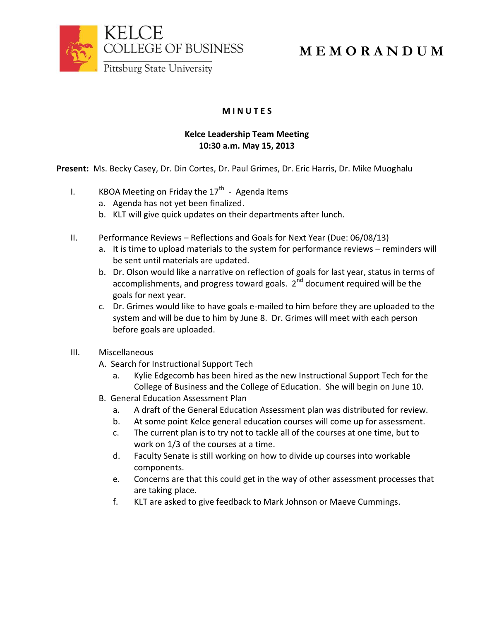

## **M I N U T E S**

## **Kelce Leadership Team Meeting 10:30 a.m. May 15, 2013**

**Present:** Ms. Becky Casey, Dr. Din Cortes, Dr. Paul Grimes, Dr. Eric Harris, Dr. Mike Muoghalu

- I.  $\hskip1cm$  KBOA Meeting on Friday the 17<sup>th</sup> Agenda Items
	- a. Agenda has not yet been finalized.
	- b. KLT will give quick updates on their departments after lunch.
- II. Performance Reviews Reflections and Goals for Next Year (Due: 06/08/13)
	- a. It is time to upload materials to the system for performance reviews reminders will be sent until materials are updated.
	- b. Dr. Olson would like a narrative on reflection of goals for last year, status in terms of accomplishments, and progress toward goals.  $2^{nd}$  document required will be the goals for next year.
	- c. Dr. Grimes would like to have goals e-mailed to him before they are uploaded to the system and will be due to him by June 8. Dr. Grimes will meet with each person before goals are uploaded.
- III. Miscellaneous
	- A. Search for Instructional Support Tech
		- a. Kylie Edgecomb has been hired as the new Instructional Support Tech for the College of Business and the College of Education. She will begin on June 10.
	- B. General Education Assessment Plan
		- a. A draft of the General Education Assessment plan was distributed for review.
		- b. At some point Kelce general education courses will come up for assessment.
		- c. The current plan is to try not to tackle all of the courses at one time, but to work on 1/3 of the courses at a time.
		- d. Faculty Senate is still working on how to divide up courses into workable components.
		- e. Concerns are that this could get in the way of other assessment processes that are taking place.
		- f. KLT are asked to give feedback to Mark Johnson or Maeve Cummings.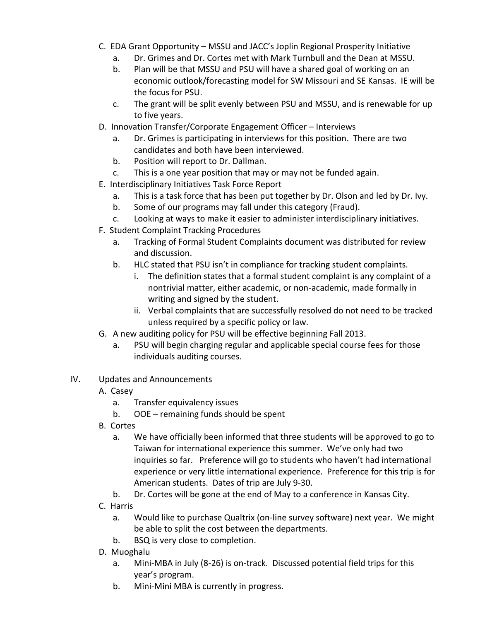- C. EDA Grant Opportunity MSSU and JACC's Joplin Regional Prosperity Initiative
	- a. Dr. Grimes and Dr. Cortes met with Mark Turnbull and the Dean at MSSU.
	- b. Plan will be that MSSU and PSU will have a shared goal of working on an economic outlook/forecasting model for SW Missouri and SE Kansas. IE will be the focus for PSU.
	- c. The grant will be split evenly between PSU and MSSU, and is renewable for up to five years.
- D. Innovation Transfer/Corporate Engagement Officer Interviews
	- a. Dr. Grimes is participating in interviews for this position. There are two candidates and both have been interviewed.
	- b. Position will report to Dr. Dallman.
	- c. This is a one year position that may or may not be funded again.
- E. Interdisciplinary Initiatives Task Force Report
	- a. This is a task force that has been put together by Dr. Olson and led by Dr. Ivy.
	- b. Some of our programs may fall under this category (Fraud).
	- c. Looking at ways to make it easier to administer interdisciplinary initiatives.
- F. Student Complaint Tracking Procedures
	- a. Tracking of Formal Student Complaints document was distributed for review and discussion.
	- b. HLC stated that PSU isn't in compliance for tracking student complaints.
		- i. The definition states that a formal student complaint is any complaint of a nontrivial matter, either academic, or non-academic, made formally in writing and signed by the student.
		- ii. Verbal complaints that are successfully resolved do not need to be tracked unless required by a specific policy or law.
- G. A new auditing policy for PSU will be effective beginning Fall 2013.
	- a. PSU will begin charging regular and applicable special course fees for those individuals auditing courses.
- IV. Updates and Announcements
	- A. Casey
		- a. Transfer equivalency issues
		- b. OOE remaining funds should be spent
	- B. Cortes
		- a. We have officially been informed that three students will be approved to go to Taiwan for international experience this summer. We've only had two inquiries so far. Preference will go to students who haven't had international experience or very little international experience. Preference for this trip is for American students. Dates of trip are July 9-30.
		- b. Dr. Cortes will be gone at the end of May to a conference in Kansas City.
	- C. Harris
		- a. Would like to purchase Qualtrix (on-line survey software) next year. We might be able to split the cost between the departments.
		- b. BSQ is very close to completion.
	- D. Muoghalu
		- a. Mini-MBA in July (8-26) is on-track. Discussed potential field trips for this year's program.
		- b. Mini-Mini MBA is currently in progress.